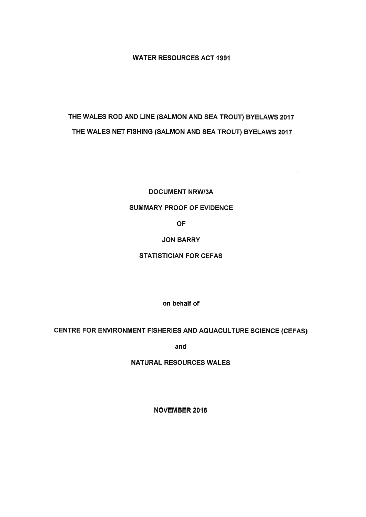# WATER RESOURCES ACT 1991

# THE WALES ROD AND LINE (SALMON AND SEA TROUT) BYELAWS 2017 THE WALES NET FISHING (SALMON AND SEA TROUT) BYELAWS 2017

### DOCUMENT NRWI3A

# SUMMARY PROOF OF EVIDENCE

OF

### JON BARRY

### STATISTICIAN FOR CEFAS

on behalf of

## CENTRE FOR ENVIRONMENT FISHERIES AND AQUACULTURE SCIENCE (CEFAS)

and

### NATURAL RESOURCES WALES

NOVEMBER 2018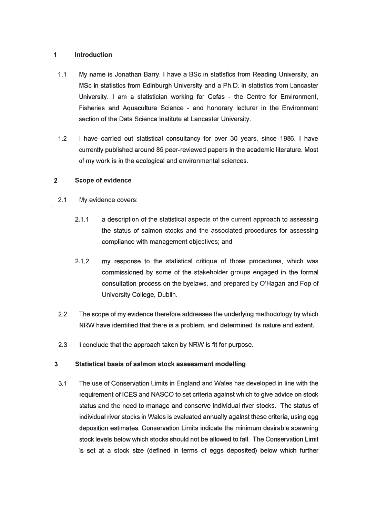#### $\mathbf{1}$ Introduction

- 1.1 My name is Jonathan Barry. I have <sup>a</sup> BSc in statistics from Reading University, an MSc in statistics from Edinburgh University and <sup>a</sup> Ph.D. in statistics from Lancaster University. I am <sup>a</sup> statistician working for Cefas - the Centre for Environment, Fisheries and Aquaculture Science - and honorary lecturer in the Environment section of the Data Science Institute at Lancaster University.
- 1.2 I have carried out statistical consultancy for over 30 years, since 1986. I have currently published around 85 peer-reviewed papers in the academic literature. Most of my work is in the ecological and environmental sciences.

#### 2Scope of evidence

- 2.1 My evidence covers:
	- 2.1.1 <sup>a</sup> description of the statistical aspects of the current approach to assessing the status of salmon stocks and the associated procedures for assessing compliance with managemen<sup>t</sup> objectives; and
	- 2.1.2 my response to the statistical critique of those procedures, which was commissioned by some of the stakeholder groups engaged in the formal consultation process on the byelaws, and prepared by O'Hagan and Fop of University College, Dublin.
- 2.2 The scope of my evidence therefore addresses the underlying methodology by which NRW have identified that there is <sup>a</sup> problem, and determined its nature and extent.
- 2.3I conclude that the approach taken by NRW is fit for purpose.

#### 3Statistical basis of salmon stock assessment modelling

3.1 The use of Conservation Limits in England and Wales has developed in line with the requirement of ICES and NASCO to set criteria against which to give advice on stock status and the need to manage and conserve individual river stocks. The status of individual river stocks in Wales is evaluated annually against these criteria, using egg deposition estimates. Conservation Limits indicate the minimum desirable spawning stock levels below which stocks should not be allowed to fall. The Conservation Limit is set at a stock size (defined in terms of eggs deposited) below which further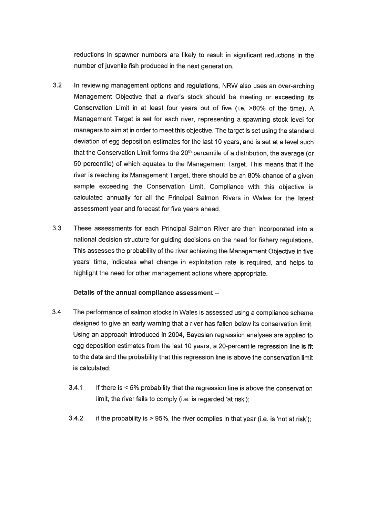reductions in spawner numbers are likely to result in significant reductions in the number of juvenile fish produced in the next generation.

- 3.2 in reviewing managemen<sup>t</sup> options and regulations, NRW also uses an over-arching Management Objective that <sup>a</sup> river's stock should be meeting or exceeding its Conservation Limit in at least four years out of five (i.e. >80% of the time). <sup>A</sup> Management Target is set for each river, representing <sup>a</sup> spawning stock level for managers to aim at in order to meet this objective. The target is set using the standard deviation of egg deposition estimates for the last <sup>10</sup> years, and is set at <sup>a</sup> level such that the Conservation Limit forms the  $20<sup>th</sup>$  percentile of a distribution, the average (or 50 percentile) of which equates to the Management Target. This means that if the river is reaching its Management Target, there should be an 80% chance of <sup>a</sup> <sup>g</sup>iven sample exceeding the Conservation Limit. Compliance with this objective is calculated annually for all the Principal Salmon Rivers in Wales for the latest assessment year and forecast for five years ahead.
- 3.3 These assessments for each Principal Salmon River are then incorporated into <sup>a</sup> national decision structure for guiding decisions on the need for fishery regulations. This assesses the probability of the river achieving the Management Objective in five years' time, indicates what change in exploitation rate is required, and helps to highlight the need for other managemen<sup>t</sup> actions where appropriate.

#### Details of the annual compliance assessment —

- 3.4 The performance of salmon stocks in Wales is assessed using a compliance scheme designed to give an early warning that <sup>a</sup> river has fallen below its conservation limit. Using an approac<sup>h</sup> introduced in 2004, Bayesian regression analyses are applied to egg deposition estimates from the last <sup>10</sup> years, <sup>a</sup> 20-percentile regression line is fit to the data and the probability that this regression line is above the conservation limit is calculated:
	- 3.4.1 if there is <sup>&</sup>lt; 5% probability that the regression line is above the conservation limit, the river fails to comply (i.e. is regarded 'at risk');
	- 3.4.2 if the probability is <sup>&</sup>gt; 95%, the river complies in that year (i.e. is 'not at risk');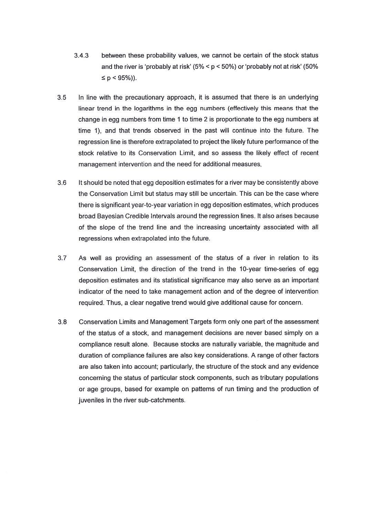- 3.4.3 between these probability values, we cannot be certain of the stock status and the rivet is 'probably at risk' (5% <sup>&</sup>lt; p <sup>&</sup>lt; 50%) or 'probably not at risk' (50%  $\leq p < 95\%)$ ).
- 3.5 In line with the precautionary approach, it is assumed that there is an underlying linear trend in the logarithms in the egg numbers (effectively this means that the change in egg numbers from time 1 to time 2 is proportionate to the egg numbers at time 1), and that trends observed in the pas<sup>t</sup> will continue into the future. The regression line is therefore extrapolated to project the likely future performance of the stock relative to its Conservation Limit, and so assess the likely effect of recent managemen<sup>t</sup> intervention and the need for additional measures.
- 3.6 It should be noted that egg deposition estimates for <sup>a</sup> river may be consistently above the Conservation Limit but status may still be uncertain. This can be the case where there is significant year-to-year variation in egg deposition estimates, which produces broad Bayesian Credible Intervals around the regression lines. It also arises because of the slope of the trend line and the increasing uncertainty associated with all regressions when extrapolated into the future.
- 3.7 As well as providing an assessment of the status of <sup>a</sup> river in relation to its Conservation Limit, the direction of the trend in the 10-year time-series of egg deposition estimates and its statistical significance may also serve as an important indicator of the need to take managemen<sup>t</sup> action and of the degree of intervention required. Thus, <sup>a</sup> clear negative trend would give additional cause for concern.
- 3.8 Conservation Limits and Management Targets form only one par<sup>t</sup> of the assessment of the status of <sup>a</sup> stock, and managemen<sup>t</sup> decisions are never based simply on <sup>a</sup> compliance result alone. Because stocks are naturally variable, the magnitude and duration of compliance failures are also key considerations. A range of other factors are also taken into account; particularly, the structure of the stock and any evidence concerning the status of particular stock components, such as tributary populations or age groups, based for example on patterns of run timing and the production of juveniles in the river sub-catchments.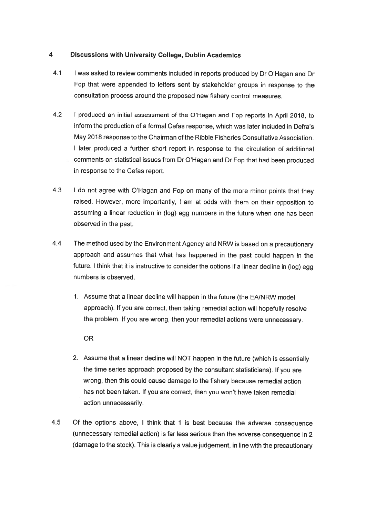# 4 Discussions with University College, Dublin Academics

- 4.1 <sup>I</sup> was asked to review comments included in reports produced by Dr O'Hagan and Dr Fop that were appended to letters sent by stakeholder groups in response to the consultation process around the proposed new fishery control measures.
- 4.2 <sup>I</sup> produced an initial assessment of the O'Hagan and Fop reports in April 2018, to inform the production of <sup>a</sup> formal Cefas response, which was later included in Defra's May 2018 response to the Chairman of the Ribble Fisheries Consultative Association. <sup>I</sup> later produced <sup>a</sup> further short repor<sup>t</sup> in response to the circulation of additional comments on statistical issues from Dr O'Hagan and Dr Fop that had been produced in response to the Cefas report.
- 4.3 I do not agree with O'Hagan and Fop on many of the more minor points that they raised. However, more importantly, <sup>I</sup> am at odds with them on their opposition to assuming <sup>a</sup> linear reduction in (log) egg numbers in the future when one has been observed in the past.
- 4.4 The method used by the Environment Agency and NRW is based on <sup>a</sup> precautionary approac<sup>h</sup> and assumes that what has happened in the pas<sup>t</sup> could happen in the future. I think that it is instructive to consider the options if a linear decline in (log) egg numbers is observed.
	- 1. Assume that <sup>a</sup> linear decline will happen in the future (the EA/NRW model approach). If you are correct, then taking remedial action will hopefully resolve the problem. If you are wrong, then your remedial actions were unnecessary.

OR

- 2. Assume that <sup>a</sup> linear decline will NOT happen in the future (which is essentially the time series approac<sup>h</sup> propose<sup>d</sup> by the consultant statisticians). If you are wrong, then this could cause damage to the fishery because remedial action has not been taken. If you are correct, then you won't have taken remedial action unnecessarily.
- 4.5 Of the options above, <sup>I</sup> think that <sup>1</sup> is best because the adverse consequence (unnecessary remedial action) is far less serious than the adverse consequence in <sup>2</sup> (damage to the stock). This is clearly <sup>a</sup> value judgement, in line with the precautionary